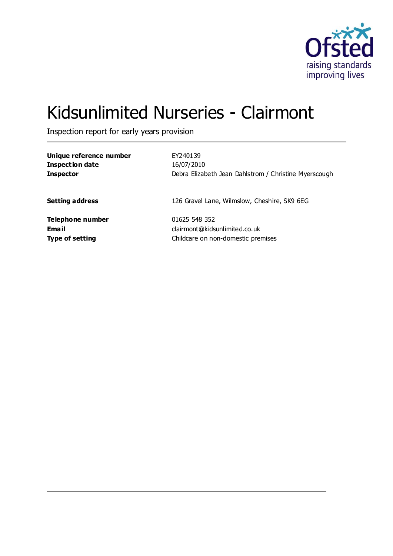

# Kidsunlimited Nurseries - Clairmont

Inspection report for early years provision

| Unique reference number | EY240139                                              |
|-------------------------|-------------------------------------------------------|
| <b>Inspection date</b>  | 16/07/2010                                            |
| <b>Inspector</b>        | Debra Elizabeth Jean Dahlstrom / Christine Myerscough |
| <b>Setting address</b>  | 126 Gravel Lane, Wilmslow, Cheshire, SK9 6EG          |
| Telephone number        | 01625 548 352                                         |
| Email                   | clairmont@kidsunlimited.co.uk                         |
| <b>Type of setting</b>  | Childcare on non-domestic premises                    |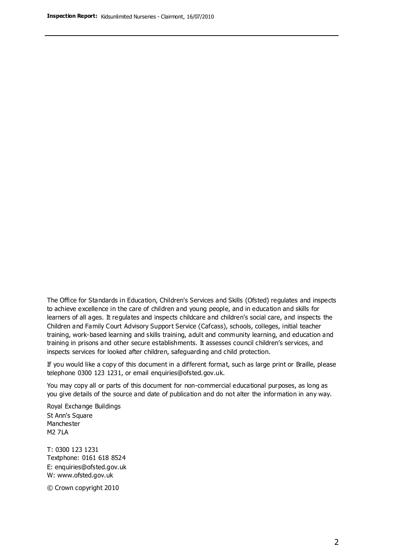The Office for Standards in Education, Children's Services and Skills (Ofsted) regulates and inspects to achieve excellence in the care of children and young people, and in education and skills for learners of all ages. It regulates and inspects childcare and children's social care, and inspects the Children and Family Court Advisory Support Service (Cafcass), schools, colleges, initial teacher training, work-based learning and skills training, adult and community learning, and education and training in prisons and other secure establishments. It assesses council children's services, and inspects services for looked after children, safeguarding and child protection.

If you would like a copy of this document in a different format, such as large print or Braille, please telephone 0300 123 1231, or email enquiries@ofsted.gov.uk.

You may copy all or parts of this document for non-commercial educational purposes, as long as you give details of the source and date of publication and do not alter the information in any way.

Royal Exchange Buildings St Ann's Square Manchester M2 7LA

T: 0300 123 1231 Textphone: 0161 618 8524 E: enquiries@ofsted.gov.uk W: [www.ofsted.gov.uk](http://www.ofsted.gov.uk/)

© Crown copyright 2010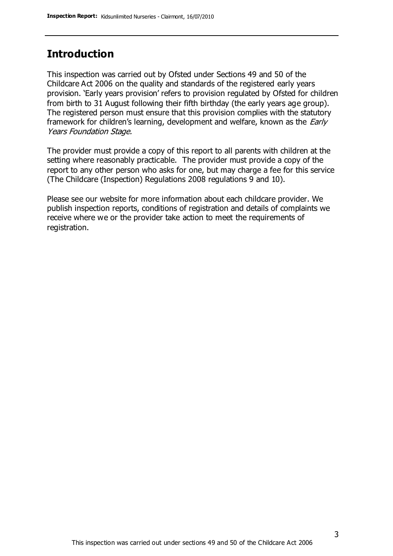## **Introduction**

This inspection was carried out by Ofsted under Sections 49 and 50 of the Childcare Act 2006 on the quality and standards of the registered early years provision. 'Early years provision' refers to provision regulated by Ofsted for children from birth to 31 August following their fifth birthday (the early years age group). The registered person must ensure that this provision complies with the statutory framework for children's learning, development and welfare, known as the *Early* Years Foundation Stage.

The provider must provide a copy of this report to all parents with children at the setting where reasonably practicable. The provider must provide a copy of the report to any other person who asks for one, but may charge a fee for this service (The Childcare (Inspection) Regulations 2008 regulations 9 and 10).

Please see our website for more information about each childcare provider. We publish inspection reports, conditions of registration and details of complaints we receive where we or the provider take action to meet the requirements of registration.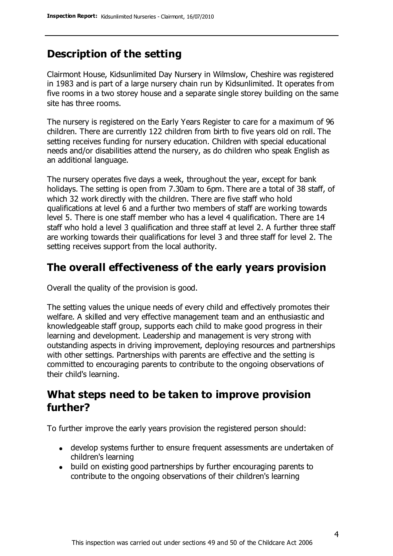## **Description of the setting**

Clairmont House, Kidsunlimited Day Nursery in Wilmslow, Cheshire was registered in 1983 and is part of a large nursery chain run by Kidsunlimited. It operates from five rooms in a two storey house and a separate single storey building on the same site has three rooms.

The nursery is registered on the Early Years Register to care for a maximum of 96 children. There are currently 122 children from birth to five years old on roll. The setting receives funding for nursery education. Children with special educational needs and/or disabilities attend the nursery, as do children who speak English as an additional language.

The nursery operates five days a week, throughout the year, except for bank holidays. The setting is open from 7.30am to 6pm. There are a total of 38 staff, of which 32 work directly with the children. There are five staff who hold qualifications at level 6 and a further two members of staff are working towards level 5. There is one staff member who has a level 4 qualification. There are 14 staff who hold a level 3 qualification and three staff at level 2. A further three staff are working towards their qualifications for level 3 and three staff for level 2. The setting receives support from the local authority.

#### **The overall effectiveness of the early years provision**

Overall the quality of the provision is good.

The setting values the unique needs of every child and effectively promotes their welfare. A skilled and very effective management team and an enthusiastic and knowledgeable staff group, supports each child to make good progress in their learning and development. Leadership and management is very strong with outstanding aspects in driving improvement, deploying resources and partnerships with other settings. Partnerships with parents are effective and the setting is committed to encouraging parents to contribute to the ongoing observations of their child's learning.

## **What steps need to be taken to improve provision further?**

To further improve the early years provision the registered person should:

- develop systems further to ensure frequent assessments are undertaken of children's learning
- build on existing good partnerships by further encouraging parents to contribute to the ongoing observations of their children's learning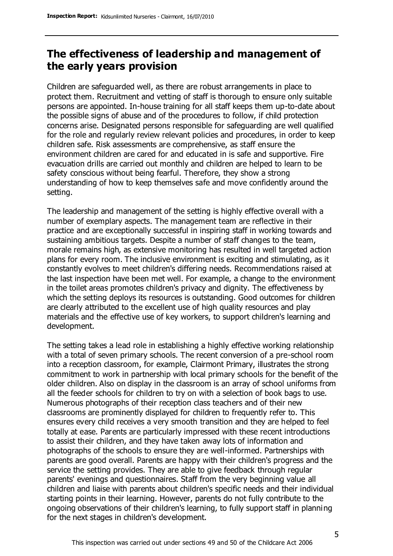## **The effectiveness of leadership and management of the early years provision**

Children are safeguarded well, as there are robust arrangements in place to protect them. Recruitment and vetting of staff is thorough to ensure only suitable persons are appointed. In-house training for all staff keeps them up-to-date about the possible signs of abuse and of the procedures to follow, if child protection concerns arise. Designated persons responsible for safeguarding are well qualified for the role and regularly review relevant policies and procedures, in order to keep children safe. Risk assessments are comprehensive, as staff ensure the environment children are cared for and educated in is safe and supportive. Fire evacuation drills are carried out monthly and children are helped to learn to be safety conscious without being fearful. Therefore, they show a strong understanding of how to keep themselves safe and move confidently around the setting.

The leadership and management of the setting is highly effective overall with a number of exemplary aspects. The management team are reflective in their practice and are exceptionally successful in inspiring staff in working towards and sustaining ambitious targets. Despite a number of staff changes to the team, morale remains high, as extensive monitoring has resulted in well targeted action plans for every room. The inclusive environment is exciting and stimulating, as it constantly evolves to meet children's differing needs. Recommendations raised at the last inspection have been met well. For example, a change to the environment in the toilet areas promotes children's privacy and dignity. The effectiveness by which the setting deploys its resources is outstanding. Good outcomes for children are clearly attributed to the excellent use of high quality resources and play materials and the effective use of key workers, to support children's learning and development.

The setting takes a lead role in establishing a highly effective working relationship with a total of seven primary schools. The recent conversion of a pre-school room into a reception classroom, for example, Clairmont Primary, illustrates the strong commitment to work in partnership with local primary schools for the benefit of the older children. Also on display in the classroom is an array of school uniforms from all the feeder schools for children to try on with a selection of book bags to use. Numerous photographs of their reception class teachers and of their new classrooms are prominently displayed for children to frequently refer to. This ensures every child receives a very smooth transition and they are helped to feel totally at ease. Parents are particularly impressed with these recent introductions to assist their children, and they have taken away lots of information and photographs of the schools to ensure they are well-informed. Partnerships with parents are good overall. Parents are happy with their children's progress and the service the setting provides. They are able to give feedback through regular parents' evenings and questionnaires. Staff from the very beginning value all children and liaise with parents about children's specific needs and their individual starting points in their learning. However, parents do not fully contribute to the ongoing observations of their children's learning, to fully support staff in planning for the next stages in children's development.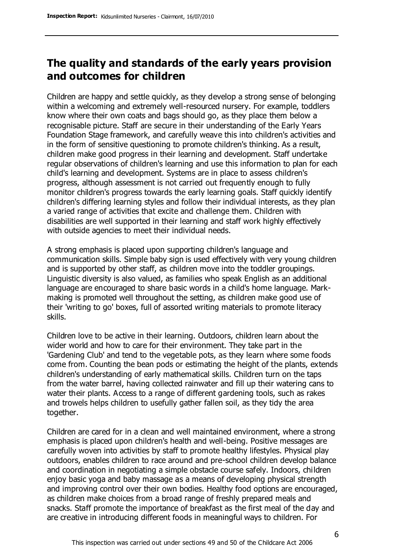## **The quality and standards of the early years provision and outcomes for children**

Children are happy and settle quickly, as they develop a strong sense of belonging within a welcoming and extremely well-resourced nursery. For example, toddlers know where their own coats and bags should go, as they place them below a recognisable picture. Staff are secure in their understanding of the Early Years Foundation Stage framework, and carefully weave this into children's activities and in the form of sensitive questioning to promote children's thinking. As a result, children make good progress in their learning and development. Staff undertake regular observations of children's learning and use this information to plan for each child's learning and development. Systems are in place to assess children's progress, although assessment is not carried out frequently enough to fully monitor children's progress towards the early learning goals. Staff quickly identify children's differing learning styles and follow their individual interests, as they plan a varied range of activities that excite and challenge them. Children with disabilities are well supported in their learning and staff work highly effectively with outside agencies to meet their individual needs.

A strong emphasis is placed upon supporting children's language and communication skills. Simple baby sign is used effectively with very young children and is supported by other staff, as children move into the toddler groupings. Linguistic diversity is also valued, as families who speak English as an additional language are encouraged to share basic words in a child's home language. Markmaking is promoted well throughout the setting, as children make good use of their 'writing to go' boxes, full of assorted writing materials to promote literacy skills.

Children love to be active in their learning. Outdoors, children learn about the wider world and how to care for their environment. They take part in the 'Gardening Club' and tend to the vegetable pots, as they learn where some foods come from. Counting the bean pods or estimating the height of the plants, extends children's understanding of early mathematical skills. Children turn on the taps from the water barrel, having collected rainwater and fill up their watering cans to water their plants. Access to a range of different gardening tools, such as rakes and trowels helps children to usefully gather fallen soil, as they tidy the area together.

Children are cared for in a clean and well maintained environment, where a strong emphasis is placed upon children's health and well-being. Positive messages are carefully woven into activities by staff to promote healthy lifestyles. Physical play outdoors, enables children to race around and pre-school children develop balance and coordination in negotiating a simple obstacle course safely. Indoors, children enjoy basic yoga and baby massage as a means of developing physical strength and improving control over their own bodies. Healthy food options are encouraged, as children make choices from a broad range of freshly prepared meals and snacks. Staff promote the importance of breakfast as the first meal of the day and are creative in introducing different foods in meaningful ways to children. For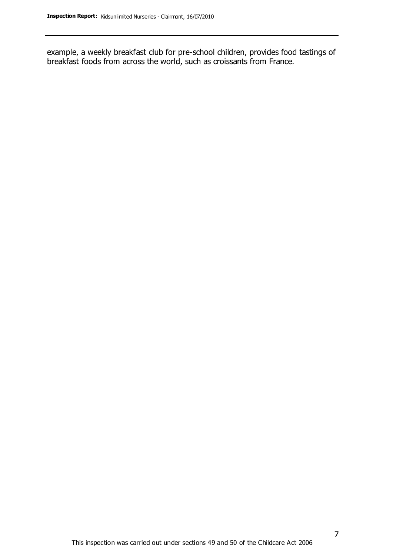example, a weekly breakfast club for pre-school children, provides food tastings of breakfast foods from across the world, such as croissants from France.